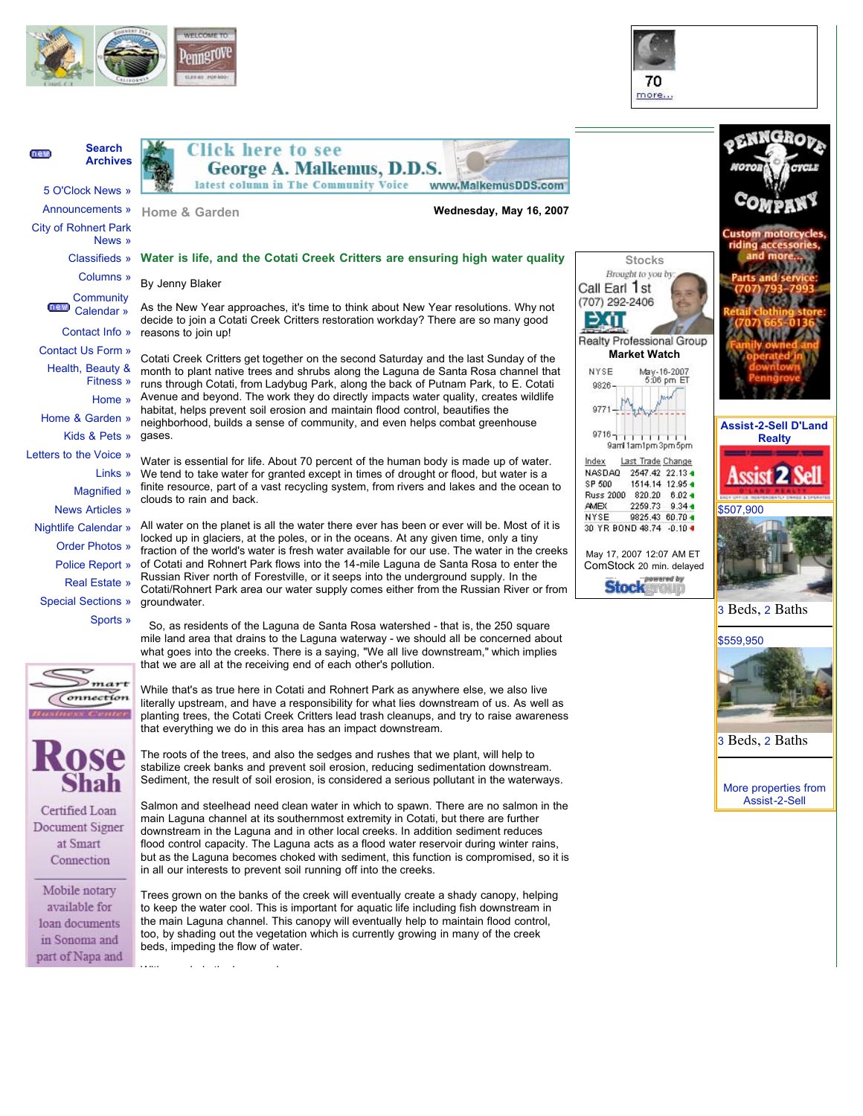